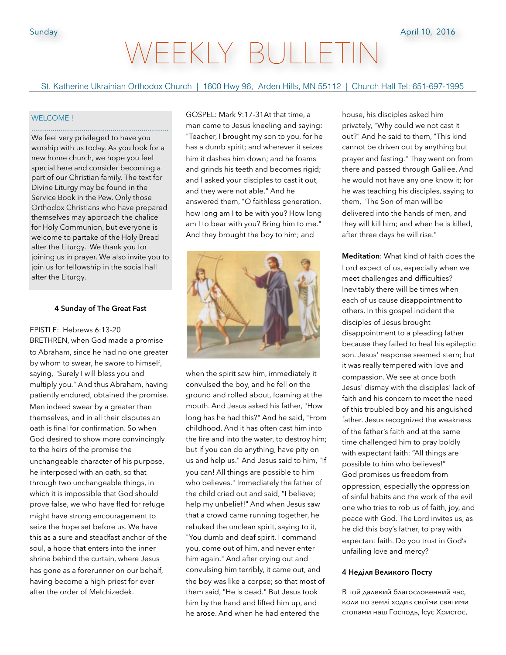# WEEKLY BULLE

St. Katherine Ukrainian Orthodox Church | 1600 Hwy 96, Arden Hills, MN 55112 | Church Hall Tel: 651-697-1995

#### WELCOME !

We feel very privileged to have you worship with us today. As you look for a new home church, we hope you feel special here and consider becoming a part of our Christian family. The text for Divine Liturgy may be found in the Service Book in the Pew. Only those Orthodox Christians who have prepared themselves may approach the chalice for Holy Communion, but everyone is welcome to partake of the Holy Bread after the Liturgy. We thank you for joining us in prayer. We also invite you to join us for fellowship in the social hall after the Liturgy.

.......................................................................

#### **4 Sunday of The Great Fast**

EPISTLE: Hebrews 6:13-20 BRETHREN, when God made a promise to Abraham, since he had no one greater by whom to swear, he swore to himself, saying, "Surely I will bless you and multiply you." And thus Abraham, having patiently endured, obtained the promise. Men indeed swear by a greater than themselves, and in all their disputes an oath is final for confirmation. So when God desired to show more convincingly to the heirs of the promise the unchangeable character of his purpose, he interposed with an oath, so that through two unchangeable things, in which it is impossible that God should prove false, we who have fled for refuge might have strong encouragement to seize the hope set before us. We have this as a sure and steadfast anchor of the soul, a hope that enters into the inner shrine behind the curtain, where Jesus has gone as a forerunner on our behalf, having become a high priest for ever after the order of Melchizedek.

GOSPEL: Mark 9:17-31At that time, a man came to Jesus kneeling and saying: "Teacher, I brought my son to you, for he has a dumb spirit; and wherever it seizes him it dashes him down; and he foams and grinds his teeth and becomes rigid; and I asked your disciples to cast it out, and they were not able." And he answered them, "O faithless generation, how long am I to be with you? How long am I to bear with you? Bring him to me." And they brought the boy to him; and



when the spirit saw him, immediately it convulsed the boy, and he fell on the ground and rolled about, foaming at the mouth. And Jesus asked his father, "How long has he had this?" And he said, "From childhood. And it has often cast him into the fire and into the water, to destroy him; but if you can do anything, have pity on us and help us." And Jesus said to him, "If you can! All things are possible to him who believes." Immediately the father of the child cried out and said, "I believe; help my unbelief!" And when Jesus saw that a crowd came running together, he rebuked the unclean spirit, saying to it, "You dumb and deaf spirit, I command you, come out of him, and never enter him again." And after crying out and convulsing him terribly, it came out, and the boy was like a corpse; so that most of them said, "He is dead." But Jesus took him by the hand and lifted him up, and he arose. And when he had entered the

house, his disciples asked him privately, "Why could we not cast it out?" And he said to them, "This kind cannot be driven out by anything but prayer and fasting." They went on from there and passed through Galilee. And he would not have any one know it; for he was teaching his disciples, saying to them, "The Son of man will be delivered into the hands of men, and they will kill him; and when he is killed, after three days he will rise."

**Meditation**: What kind of faith does the Lord expect of us, especially when we meet challenges and difficulties? Inevitably there will be times when each of us cause disappointment to others. In this gospel incident the disciples of Jesus brought disappointment to a pleading father because they failed to heal his epileptic son. Jesus' response seemed stern; but it was really tempered with love and compassion. We see at once both Jesus' dismay with the disciples' lack of faith and his concern to meet the need of this troubled boy and his anguished father. Jesus recognized the weakness of the father's faith and at the same time challenged him to pray boldly with expectant faith: "All things are possible to him who believes!" God promises us freedom from oppression, especially the oppression of sinful habits and the work of the evil one who tries to rob us of faith, joy, and peace with God. The Lord invites us, as he did this boy's father, to pray with expectant faith. Do you trust in God's unfailing love and mercy?

#### **4 Неділя Великого Посту**

В той далекий благословенний час, коли по землі ходив своїми святими стопами наш Господь, Ісус Христос,